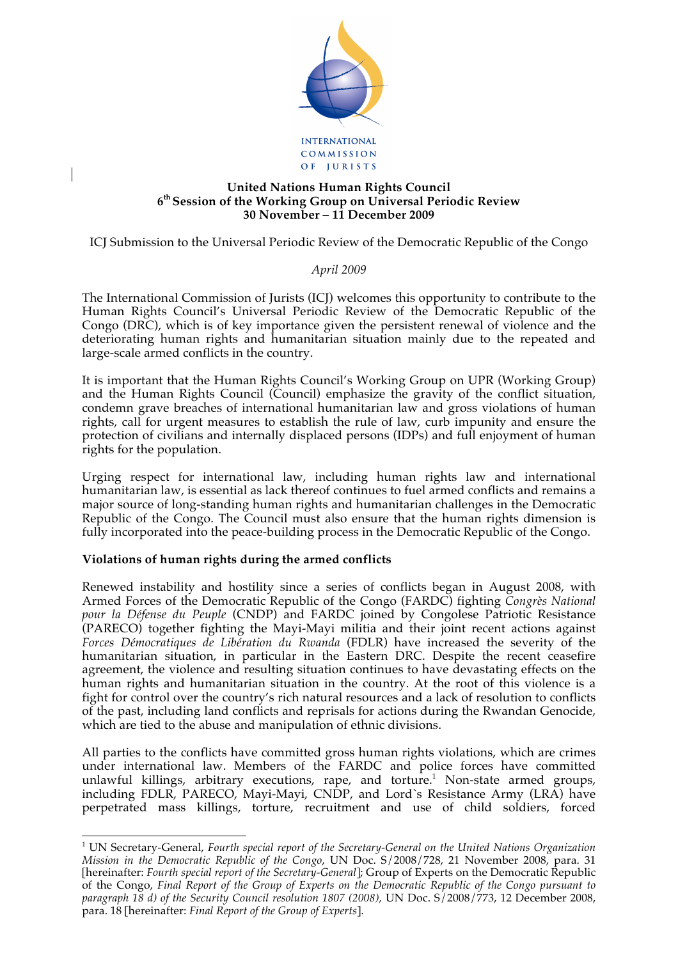

### **United Nations Human Rights Council 6th Session of the Working Group on Universal Periodic Review 30 November – 11 December 2009**

ICJ Submission to the Universal Periodic Review of the Democratic Republic of the Congo

# *April 2009*

The International Commission of Jurists (ICJ) welcomes this opportunity to contribute to the Human Rights Council's Universal Periodic Review of the Democratic Republic of the Congo (DRC), which is of key importance given the persistent renewal of violence and the deteriorating human rights and humanitarian situation mainly due to the repeated and large-scale armed conflicts in the country.

It is important that the Human Rights Council's Working Group on UPR (Working Group) and the Human Rights Council (Council) emphasize the gravity of the conflict situation, condemn grave breaches of international humanitarian law and gross violations of human rights, call for urgent measures to establish the rule of law, curb impunity and ensure the protection of civilians and internally displaced persons (IDPs) and full enjoyment of human rights for the population.

Urging respect for international law, including human rights law and international humanitarian law, is essential as lack thereof continues to fuel armed conflicts and remains a major source of long-standing human rights and humanitarian challenges in the Democratic Republic of the Congo. The Council must also ensure that the human rights dimension is fully incorporated into the peace-building process in the Democratic Republic of the Congo.

# **Violations of human rights during the armed conflicts**

Renewed instability and hostility since a series of conflicts began in August 2008, with Armed Forces of the Democratic Republic of the Congo (FARDC) fighting *Congrès National pour la Défense du Peuple* (CNDP) and FARDC joined by Congolese Patriotic Resistance (PARECO) together fighting the Mayi-Mayi militia and their joint recent actions against *Forces Démocratiques de Libération du Rwanda* (FDLR) have increased the severity of the humanitarian situation, in particular in the Eastern DRC. Despite the recent ceasefire agreement, the violence and resulting situation continues to have devastating effects on the human rights and humanitarian situation in the country. At the root of this violence is a fight for control over the country's rich natural resources and a lack of resolution to conflicts of the past, including land conflicts and reprisals for actions during the Rwandan Genocide, which are tied to the abuse and manipulation of ethnic divisions.

All parties to the conflicts have committed gross human rights violations, which are crimes under international law. Members of the FARDC and police forces have committed unlawful killings, arbitrary executions, rape, and torture.<sup>1</sup> Non-state armed groups, including FDLR, PARECO, Mayi-Mayi, CNDP, and Lord`s Resistance Army (LRA) have perpetrated mass killings, torture, recruitment and use of child soldiers, forced

 $\frac{1}{1}$  UN Secretary-General, *Fourth special report of the Secretary-General on the United Nations Organization Mission in the Democratic Republic of the Congo*, UN Doc. S/2008/728, 21 November 2008, para. 31 [hereinafter: *Fourth special report of the Secretary-General*]; Group of Experts on the Democratic Republic of the Congo, *Final Report of the Group of Experts on the Democratic Republic of the Congo pursuant to paragraph 18 d) of the Security Council resolution 1807 (2008),* UN Doc. S/2008/773, 12 December 2008, para. 18 [hereinafter: *Final Report of the Group of Experts*].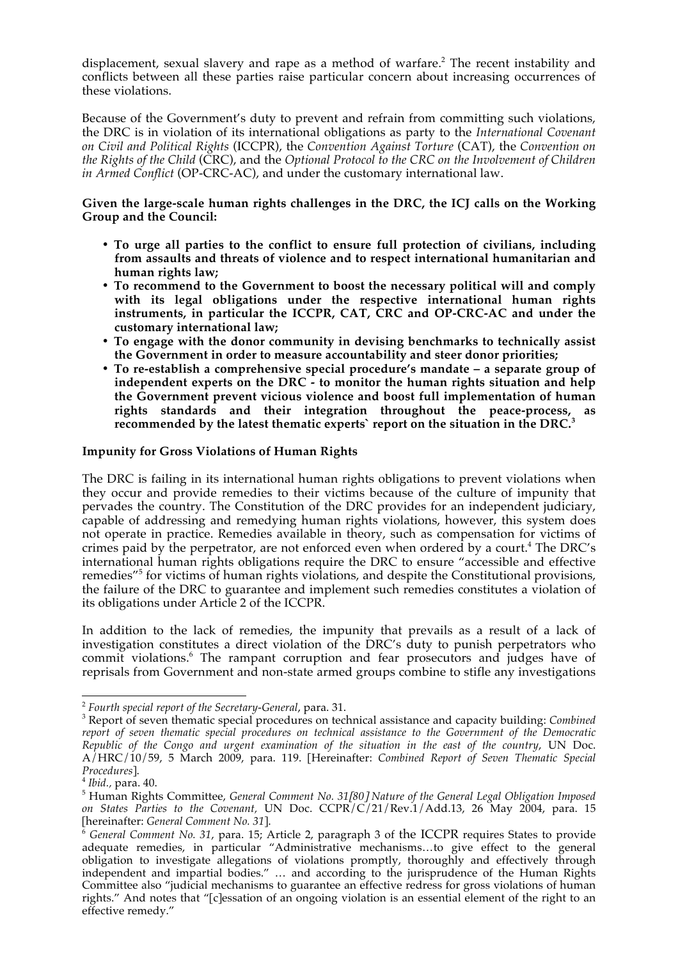displacement, sexual slavery and rape as a method of warfare.<sup>2</sup> The recent instability and conflicts between all these parties raise particular concern about increasing occurrences of these violations.

Because of the Government's duty to prevent and refrain from committing such violations, the DRC is in violation of its international obligations as party to the *International Covenant on Civil and Political Rights* (ICCPR), the *Convention Against Torture* (CAT), the *Convention on the Rights of the Child* (CRC), and the *Optional Protocol to the CRC on the Involvement of Children in Armed Conflict* (OP-CRC-AC), and under the customary international law.

### **Given the large-scale human rights challenges in the DRC, the ICJ calls on the Working Group and the Council:**

- **To urge all parties to the conflict to ensure full protection of civilians, including from assaults and threats of violence and to respect international humanitarian and human rights law;**
- **To recommend to the Government to boost the necessary political will and comply with its legal obligations under the respective international human rights instruments, in particular the ICCPR, CAT, CRC and OP-CRC-AC and under the customary international law;**
- **To engage with the donor community in devising benchmarks to technically assist the Government in order to measure accountability and steer donor priorities;**
- **To re-establish a comprehensive special procedure's mandate a separate group of independent experts on the DRC - to monitor the human rights situation and help the Government prevent vicious violence and boost full implementation of human rights standards and their integration throughout the peace-process, as recommended by the latest thematic experts` report on the situation in the DRC.<sup>3</sup>**

### **Impunity for Gross Violations of Human Rights**

The DRC is failing in its international human rights obligations to prevent violations when they occur and provide remedies to their victims because of the culture of impunity that pervades the country. The Constitution of the DRC provides for an independent judiciary, capable of addressing and remedying human rights violations, however, this system does not operate in practice. Remedies available in theory, such as compensation for victims of crimes paid by the perpetrator, are not enforced even when ordered by a court.<sup>4</sup> The DRC's international human rights obligations require the DRC to ensure "accessible and effective remedies<sup>"5</sup> for victims of human rights violations, and despite the Constitutional provisions, the failure of the DRC to guarantee and implement such remedies constitutes a violation of its obligations under Article 2 of the ICCPR.

In addition to the lack of remedies, the impunity that prevails as a result of a lack of investigation constitutes a direct violation of the DRC's duty to punish perpetrators who commit violations.<sup>6</sup> The rampant corruption and fear prosecutors and judges have of reprisals from Government and non-state armed groups combine to stifle any investigations

<sup>&</sup>lt;sup>2</sup> Fourth special report of the Secretary-General, para. 31.

<sup>&</sup>lt;sup>3</sup> Report of seven thematic special procedures on technical assistance and capacity building: *Combined report of seven thematic special procedures on technical assistance to the Government of the Democratic Republic of the Congo and urgent examination of the situation in the east of the country*, UN Doc. A/HRC/10/59, 5 March 2009, para. 119. [Hereinafter: *Combined Report of Seven Thematic Special Procedures*].<br><sup>4</sup> *Ibid.,* para. 40.

Human Rights Committee, *General Comment No. 31*[*80*] *Nature of the General Legal Obligation Imposed on States Parties to the Covenant,* UN Doc. CCPR/C/21/Rev.1/Add.13, 26 May 2004, para. 15 [hereinafter: *General Comment No. 31*].

<sup>6</sup> *General Comment No. 31*, para. 15; Article 2, paragraph 3 of the ICCPR requires States to provide adequate remedies, in particular "Administrative mechanisms…to give effect to the general obligation to investigate allegations of violations promptly, thoroughly and effectively through independent and impartial bodies." … and according to the jurisprudence of the Human Rights Committee also "judicial mechanisms to guarantee an effective redress for gross violations of human rights." And notes that "[c]essation of an ongoing violation is an essential element of the right to an effective remedy."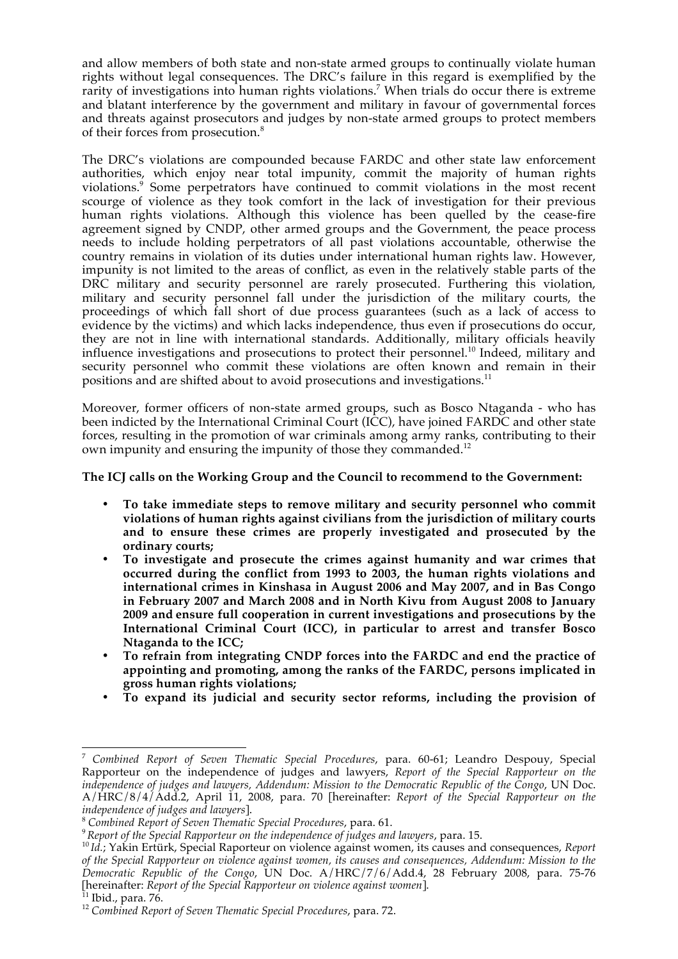and allow members of both state and non-state armed groups to continually violate human rights without legal consequences. The DRC's failure in this regard is exemplified by the rarity of investigations into human rights violations.<sup>7</sup> When trials do occur there is extreme and blatant interference by the government and military in favour of governmental forces and threats against prosecutors and judges by non-state armed groups to protect members of their forces from prosecution.<sup>8</sup>

The DRC's violations are compounded because FARDC and other state law enforcement authorities, which enjoy near total impunity, commit the majority of human rights violations.<sup>9</sup> Some perpetrators have continued to commit violations in the most recent scourge of violence as they took comfort in the lack of investigation for their previous human rights violations. Although this violence has been quelled by the cease-fire agreement signed by CNDP, other armed groups and the Government, the peace process needs to include holding perpetrators of all past violations accountable, otherwise the country remains in violation of its duties under international human rights law. However, impunity is not limited to the areas of conflict, as even in the relatively stable parts of the DRC military and security personnel are rarely prosecuted. Furthering this violation, military and security personnel fall under the jurisdiction of the military courts, the proceedings of which fall short of due process guarantees (such as a lack of access to evidence by the victims) and which lacks independence, thus even if prosecutions do occur, they are not in line with international standards. Additionally, military officials heavily influence investigations and prosecutions to protect their personnel.<sup>10</sup> Indeed, military and security personnel who commit these violations are often known and remain in their positions and are shifted about to avoid prosecutions and investigations.<sup>11</sup>

Moreover, former officers of non-state armed groups, such as Bosco Ntaganda - who has been indicted by the International Criminal Court (ICC), have joined FARDC and other state forces, resulting in the promotion of war criminals among army ranks, contributing to their own impunity and ensuring the impunity of those they commanded.<sup>12</sup>

### **The ICJ calls on the Working Group and the Council to recommend to the Government:**

- **To take immediate steps to remove military and security personnel who commit violations of human rights against civilians from the jurisdiction of military courts and to ensure these crimes are properly investigated and prosecuted by the ordinary courts;**
- **To investigate and prosecute the crimes against humanity and war crimes that occurred during the conflict from 1993 to 2003, the human rights violations and international crimes in Kinshasa in August 2006 and May 2007, and in Bas Congo in February 2007 and March 2008 and in North Kivu from August 2008 to January 2009 and ensure full cooperation in current investigations and prosecutions by the International Criminal Court (ICC), in particular to arrest and transfer Bosco Ntaganda to the ICC;**
- **To refrain from integrating CNDP forces into the FARDC and end the practice of appointing and promoting, among the ranks of the FARDC, persons implicated in gross human rights violations;**
- **To expand its judicial and security sector reforms, including the provision of**

<sup>7</sup> *Combined Report of Seven Thematic Special Procedures*, para. 60-61; Leandro Despouy, Special Rapporteur on the independence of judges and lawyers, *Report of the Special Rapporteur on the independence of judges and lawyers, Addendum: Mission to the Democratic Republic of the Congo*, UN Doc. A/HRC/8/4/Add.2, April 11, 2008, para. 70 [hereinafter: *Report of the Special Rapporteur on the independence of judges and lawyers*].

<sup>&</sup>lt;sup>8</sup> Combined Report of Seven Thematic Special Procedures, para. 61.<br><sup>9</sup> Report of the Special Rapporteur on the independence of judges and lawyers, para. 15.<br><sup>10</sup> Id.; Yakin Ertürk, Special Raporteur on violence against wo *of the Special Rapporteur on violence against women, its causes and consequences, Addendum: Mission to the Democratic Republic of the Congo*, UN Doc. A/HRC/7/6/Add.4, 28 February 2008, para. 75-76 [hereinafter: *Report of the Special Rapporteur on violence against women*]. 11 Ibid., para. 76.

<sup>12</sup> *Combined Report of Seven Thematic Special Procedures*, para. 72.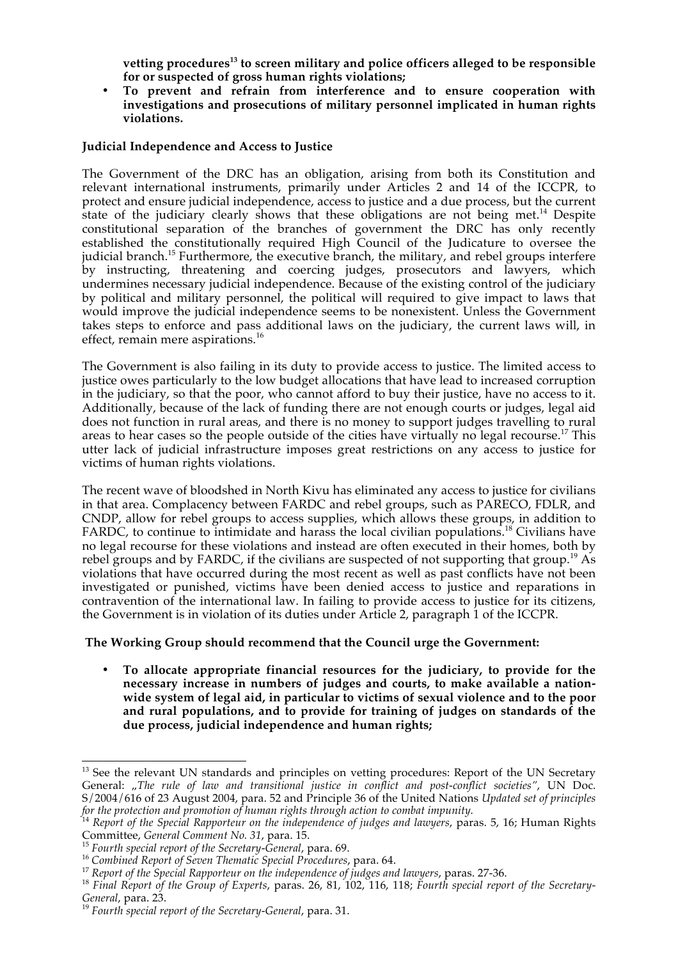**vetting procedures13 to screen military and police officers alleged to be responsible for or suspected of gross human rights violations;**

• **To prevent and refrain from interference and to ensure cooperation with investigations and prosecutions of military personnel implicated in human rights violations.**

#### **Judicial Independence and Access to Justice**

The Government of the DRC has an obligation, arising from both its Constitution and relevant international instruments, primarily under Articles 2 and 14 of the ICCPR, to protect and ensure judicial independence, access to justice and a due process, but the current state of the judiciary clearly shows that these obligations are not being met.<sup>14</sup> Despite constitutional separation of the branches of government the DRC has only recently established the constitutionally required High Council of the Judicature to oversee the judicial branch.<sup>15</sup> Furthermore, the executive branch, the military, and rebel groups interfere by instructing, threatening and coercing judges, prosecutors and lawyers, which undermines necessary judicial independence. Because of the existing control of the judiciary by political and military personnel, the political will required to give impact to laws that would improve the judicial independence seems to be nonexistent. Unless the Government takes steps to enforce and pass additional laws on the judiciary, the current laws will, in effect, remain mere aspirations.<sup>16</sup>

The Government is also failing in its duty to provide access to justice. The limited access to justice owes particularly to the low budget allocations that have lead to increased corruption in the judiciary, so that the poor, who cannot afford to buy their justice, have no access to it. Additionally, because of the lack of funding there are not enough courts or judges, legal aid does not function in rural areas, and there is no money to support judges travelling to rural areas to hear cases so the people outside of the cities have virtually no legal recourse.<sup>17</sup> This utter lack of judicial infrastructure imposes great restrictions on any access to justice for victims of human rights violations.

The recent wave of bloodshed in North Kivu has eliminated any access to justice for civilians in that area. Complacency between FARDC and rebel groups, such as PARECO, FDLR, and CNDP, allow for rebel groups to access supplies, which allows these groups, in addition to FARDC, to continue to intimidate and harass the local civilian populations.<sup>18</sup> Civilians have no legal recourse for these violations and instead are often executed in their homes, both by rebel groups and by FARDC, if the civilians are suspected of not supporting that group.<sup>19</sup> As violations that have occurred during the most recent as well as past conflicts have not been investigated or punished, victims have been denied access to justice and reparations in contravention of the international law. In failing to provide access to justice for its citizens, the Government is in violation of its duties under Article 2, paragraph 1 of the ICCPR.

# **The Working Group should recommend that the Council urge the Government:**

• **To allocate appropriate financial resources for the judiciary, to provide for the necessary increase in numbers of judges and courts, to make available a nationwide system of legal aid, in particular to victims of sexual violence and to the poor and rural populations, and to provide for training of judges on standards of the due process, judicial independence and human rights;**

<sup>&</sup>lt;sup>13</sup> See the relevant UN standards and principles on vetting procedures: Report of the UN Secretary General: "*The rule of law and transitional justice in conflict and post-conflict societies"*, UN Doc. S/2004/616 of 23 August 2004, para. 52 and Principle 36 of the United Nations *Updated set of principles for the protection and promotion of human rights through action to combat impunity.* 

<sup>14</sup> *Report of the Special Rapporteur on the independence of judges and lawyers*, paras. 5, 16; Human Rights Committee, General Comment No. 31, para. 15.<br><sup>15</sup> Fourth special report of the Secretary-General, para. 69.<br><sup>16</sup> Combined Report of Seven Thematic Special Procedures, para. 64.<br><sup>17</sup> Report of the Special Rapporteur on the

*General*, para. 23. <sup>19</sup> *Fourth special report of the Secretary-General*, para. 31.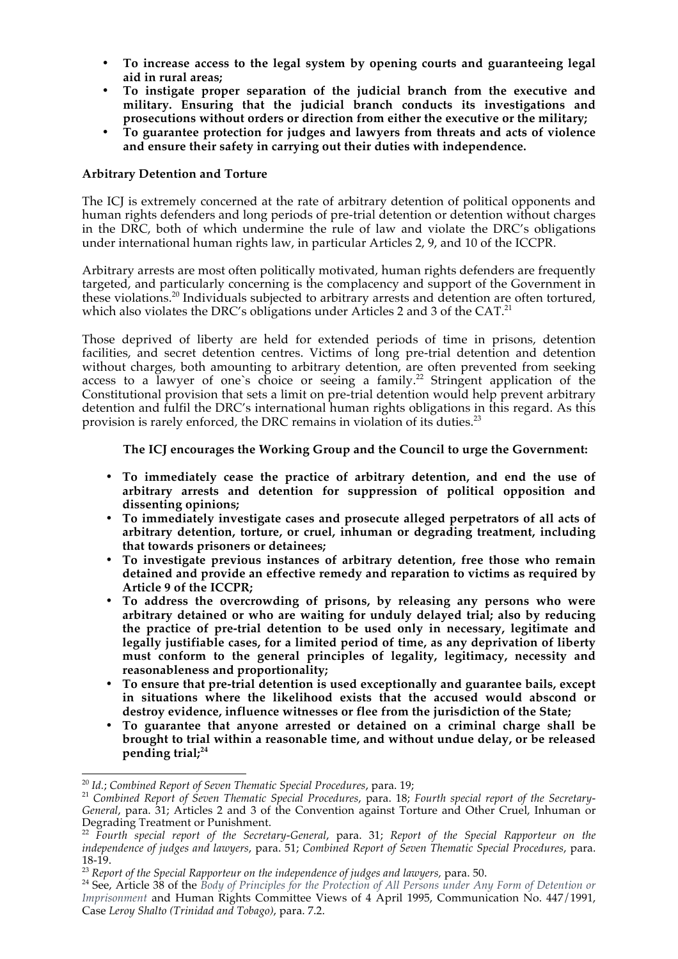- **To increase access to the legal system by opening courts and guaranteeing legal aid in rural areas;**
- **To instigate proper separation of the judicial branch from the executive and military. Ensuring that the judicial branch conducts its investigations and prosecutions without orders or direction from either the executive or the military;**
- **To guarantee protection for judges and lawyers from threats and acts of violence and ensure their safety in carrying out their duties with independence.**

### **Arbitrary Detention and Torture**

The ICJ is extremely concerned at the rate of arbitrary detention of political opponents and human rights defenders and long periods of pre-trial detention or detention without charges in the DRC, both of which undermine the rule of law and violate the DRC's obligations under international human rights law, in particular Articles 2, 9, and 10 of the ICCPR.

Arbitrary arrests are most often politically motivated, human rights defenders are frequently targeted, and particularly concerning is the complacency and support of the Government in these violations.20 Individuals subjected to arbitrary arrests and detention are often tortured, which also violates the DRC's obligations under Articles 2 and 3 of the CAT.<sup>21</sup>

Those deprived of liberty are held for extended periods of time in prisons, detention facilities, and secret detention centres. Victims of long pre-trial detention and detention without charges, both amounting to arbitrary detention, are often prevented from seeking access to a lawyer of one's choice or seeing a family.<sup>22</sup> Stringent application of the Constitutional provision that sets a limit on pre-trial detention would help prevent arbitrary detention and fulfil the DRC's international human rights obligations in this regard. As this provision is rarely enforced, the DRC remains in violation of its duties.<sup>23</sup>

**The ICJ encourages the Working Group and the Council to urge the Government:**

- **To immediately cease the practice of arbitrary detention, and end the use of arbitrary arrests and detention for suppression of political opposition and dissenting opinions;**
- **To immediately investigate cases and prosecute alleged perpetrators of all acts of arbitrary detention, torture, or cruel, inhuman or degrading treatment, including that towards prisoners or detainees;**
- **To investigate previous instances of arbitrary detention, free those who remain detained and provide an effective remedy and reparation to victims as required by Article 9 of the ICCPR;**
- **To address the overcrowding of prisons, by releasing any persons who were arbitrary detained or who are waiting for unduly delayed trial; also by reducing the practice of pre-trial detention to be used only in necessary, legitimate and legally justifiable cases, for a limited period of time, as any deprivation of liberty must conform to the general principles of legality, legitimacy, necessity and reasonableness and proportionality;**
- **To ensure that pre-trial detention is used exceptionally and guarantee bails, except in situations where the likelihood exists that the accused would abscond or destroy evidence, influence witnesses or flee from the jurisdiction of the State;**
- **To guarantee that anyone arrested or detained on a criminal charge shall be brought to trial within a reasonable time, and without undue delay, or be released pending trial;<sup>24</sup>**

<sup>&</sup>lt;sup>20</sup> Id.; Combined Report of Seven Thematic Special Procedures, para. 19;<br><sup>21</sup> Combined Report of Seven Thematic Special Procedures, para. 18; *Fourth special report of the Secretary-General*, para. 31; Articles 2 and 3 of the Convention against Torture and Other Cruel, Inhuman or Degrading Treatment or Punishment.

<sup>22</sup> *Fourth special report of the Secretary-General*, para. 31; *Report of the Special Rapporteur on the independence of judges and lawyers*, para. 51; *Combined Report of Seven Thematic Special Procedures*, para. 18-19.<br><sup>23</sup> *Report of the Special Rapporteur on the independence of judges and lawyers, para. 50.*<br><sup>24</sup> See, Article 38 of the *Body of Principles for the Protection of All Persons under Any Form of Detention or* 

*Imprisonment* and Human Rights Committee Views of 4 April 1995, Communication No. 447/1991, Case *Leroy Shalto (Trinidad and Tobago)*, para. 7.2.